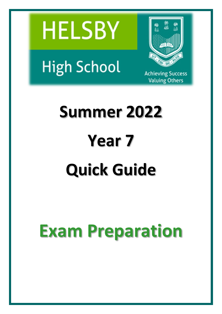



**High School** 

**Achieving Success Valuing Others** 

# **Summer 2022 Year 7 Quick Guide**

# **Exam Preparation**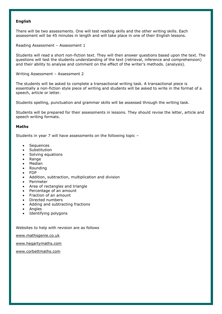#### **English**

There will be two assessments. One will test reading skills and the other writing skills. Each assessment will be 45 minutes in length and will take place in one of their English lessons.

Reading Assessment – Assessment 1

Students will read a short non-fiction text. They will then answer questions based upon the text. The questions will test the students understanding of the text (retrieval, inference and comprehension) and their ability to analyse and comment on the effect of the writer's methods. (analysis).

Writing Assessment – Assessment 2

The students will be asked to complete a transactional writing task. A transactional piece is essentially a non-fiction style piece of writing and students will be asked to write in the format of a speech, article or letter.

Students spelling, punctuation and grammar skills will be assessed through the writing task.

Students will be prepared for their assessments in lessons. They should revise the letter, article and speech writing formats.

#### **Maths**

Students in year 7 will have assessments on the following topic –

- Sequences
- Substitution
- Solving equations
- Range
- Median
- Rounding
- FDP
- Addition, subtraction, multiplication and division
- Perimeter
- Area of rectangles and triangle
- Percentage of an amount
- Fraction of an amount
- Directed numbers
- Adding and subtracting fractions
- Angles
- Identifying polygons

Websites to help with revision are as follows

[www.mathsgenie.co.uk](http://www.mathsgenie.co.uk/)

[www.hegartymaths.com](http://www.hegartymaths.com/)

[www.corbettmaths.com](http://www.corbettmaths.com/)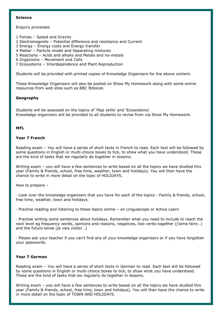#### **Science**

#### Enquiry processes

- 1 Forces Speed and Gravity
- 2 Electromagnets Potential difference and resistance and Current
- 3 Energy Energy costs and Energy transfer
- 4 Matter Particle model and Separating mixtures
- 5 Reactions Acids and alkalis and Metals and no-metals
- 6 Organisms Movement and Cells
- 7 Ecosystems Interdependence and Plant Reproduction

Students will be provided with printed copies of Knowledge Organisers for the above content.

These Knowledge Organisers will also be posted on Show My Homework along with some online resources from web sites such as BBC Bitesize.

## **Geography**

Students will be assessed on the topics of 'Map skills' and 'Ecosystems'. Knowledge organisers will be provided to all students to revise from via Show My Homework.

#### **MFL**

# **Year 7 French**

Reading exam – You will have a series of short texts in French to read. Each text will be followed by some questions in English or multi-choice boxes to tick, to show what you have understood. These are the kind of tasks that we regularly do together in lessons.

Writing exam – you will have a few sentences to write based on all the topics we have studied this year (Family & friends, school, free time, weather, town and holidays). You will then have the chance to write in more detail on the topic of HOLIDAYS.

How to prepare –

· Look over the knowledge organisers that you have for each of the topics - Family & friends, school, free time, weather, town and holidays.

· Practise reading and listening to these topics online – on Linguascope or Active Learn

· Practise writing some sentences about holidays. Remember what you need to include to reach the next level eg frequency words, opinions and reasons, negatives, two verbs together (j'aime faire…) and the future tense (je vais visiter…)

· Please ask your teacher if you can't find any of your knowledge organisers or if you have forgotten your passwords.

### **Year 7 German**

Reading exam – You will have a series of short texts in German to read. Each text will be followed by some questions in English or multi-choice boxes to tick, to show what you have understood. These are the kind of tasks that we regularly do together in lessons.

Writing exam – you will have a few sentences to write based on all the topics we have studied this year (Family & friends, school, free time, town and holidays). You will then have the chance to write in more detail on the topic of TOWN AND HOLIDAYS.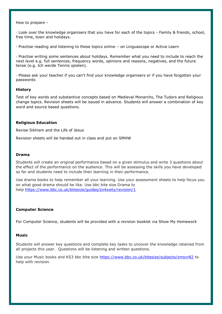How to prepare –

· Look over the knowledge organisers that you have for each of the topics - Family & friends, school, free time, town and holidays.

· Practise reading and listening to these topics online – on Linguascope or Active Learn

· Practise writing some sentences about holidays. Remember what you need to include to reach the next level e.g. full sentences, frequency words, opinions and reasons, negatives, and the future tense (e.g. Ich werde Tennis spielen).

· Please ask your teacher if you can't find your knowledge organisers or if you have forgotten your passwords

#### **History**

Test of key words and substantive concepts based on Medieval Monarchs, The Tudors and Religious change topics. Revision sheets will be issued in advance. Students will answer a combination of key word and source based questions.

#### **Religious Education**

Revise Sikhism and the Life of Jesus

Revision sheets will be handed out in class and put on SMHW

#### **Drama**

Students will create an original performance based on a given stimulus and write 3 questions about the effect of the performance on the audience. This will be assessing the skills you have developed so far and students need to include their learning in their performance.

Use drama books to help remember all your learning. Use your assessment sheets to help focus you on what good drama should be like. Use bbc bite size Drama to help <https://www.bbc.co.uk/bitesize/guides/zn4xwty/revision/1>

#### **Computer Science**

For Computer Science, students will be provided with a revision booklet via Show My Homework

#### **Music**

Students will answer key questions and complete key tasks to uncover the knowledge retained from all projects this year. Questions will be listening and written questions.

Use your Music books and KS3 bbc bite size <https://www.bbc.co.uk/bitesize/subjects/zmsvr82> to help with revision.